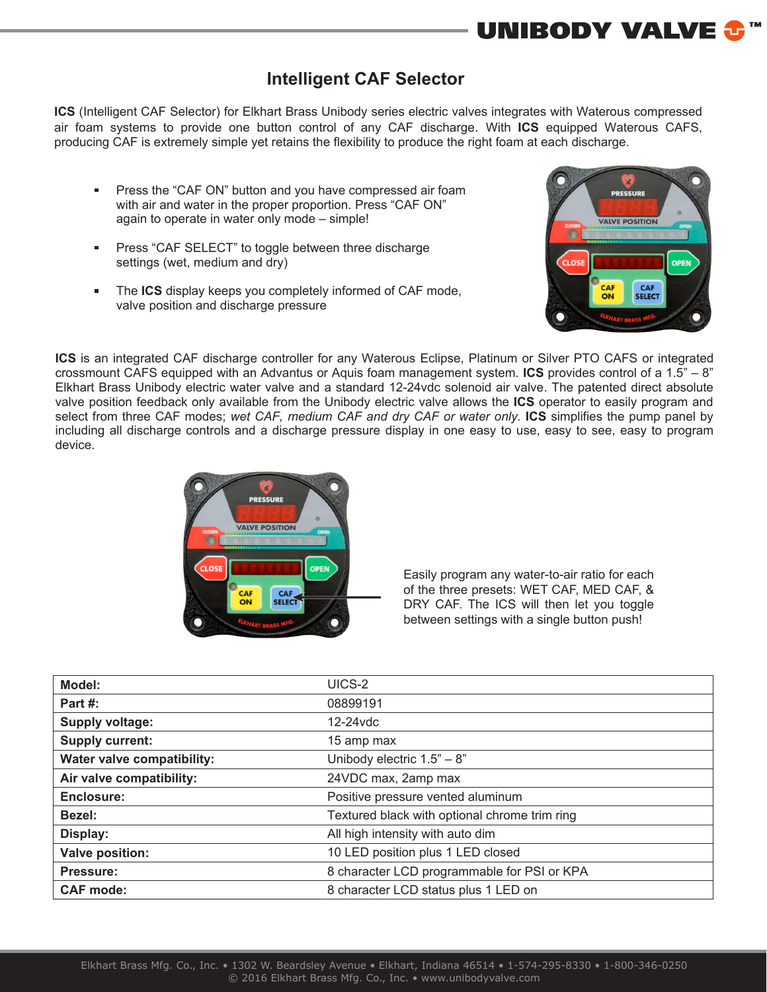## **Intelligent CAF Selector**

**ICS** (Intelligent CAF Selector) for Elkhart Brass Unibody series electric valves integrates with Waterous compressed air foam systems to provide one button control of any CAF discharge. With **ICS** equipped Waterous CAFS, producing CAF is extremely simple yet retains the flexibility to produce the right foam at each discharge.

- Press the "CAF ON" button and you have compressed air foam  $\blacksquare$ with air and water in the proper proportion. Press "CAF ON" again to operate in water only mode – simple!
- Press "CAF SELECT" to toggle between three discharge m. settings (wet, medium and dry)
- The **ICS** display keeps you completely informed of CAF mode, valve position and discharge pressure



**UNIBODY VALVE &** 

**ICS** is an integrated CAF discharge controller for any Waterous Eclipse, Platinum or Silver PTO CAFS or integrated crossmount CAFS equipped with an Advantus or Aquis foam management system. **ICS** provides control of a 1.5" – 8" Elkhart Brass Unibody electric water valve and a standard 12-24vdc solenoid air valve. The patented direct absolute valve position feedback only available from the Unibody electric valve allows the **ICS** operator to easily program and select from three CAF modes; *wet CAF, medium CAF and dry CAF or water only.* **ICS** simplifies the pump panel by including all discharge controls and a discharge pressure display in one easy to use, easy to see, easy to program device.



Easily program any water-to-air ratio for each of the three presets: WET CAF, MED CAF, & DRY CAF. The ICS will then let you toggle between settings with a single button push!

| Model:                     | UICS-2                                        |
|----------------------------|-----------------------------------------------|
| Part $#$ :                 | 08899191                                      |
| <b>Supply voltage:</b>     | $12-24$ vdc                                   |
| <b>Supply current:</b>     | 15 amp max                                    |
| Water valve compatibility: | Unibody electric $1.5" - 8"$                  |
| Air valve compatibility:   | 24VDC max, 2amp max                           |
| Enclosure:                 | Positive pressure vented aluminum             |
| Bezel:                     | Textured black with optional chrome trim ring |
| Display:                   | All high intensity with auto dim              |
| <b>Valve position:</b>     | 10 LED position plus 1 LED closed             |
| Pressure:                  | 8 character LCD programmable for PSI or KPA   |
| <b>CAF mode:</b>           | 8 character LCD status plus 1 LED on          |